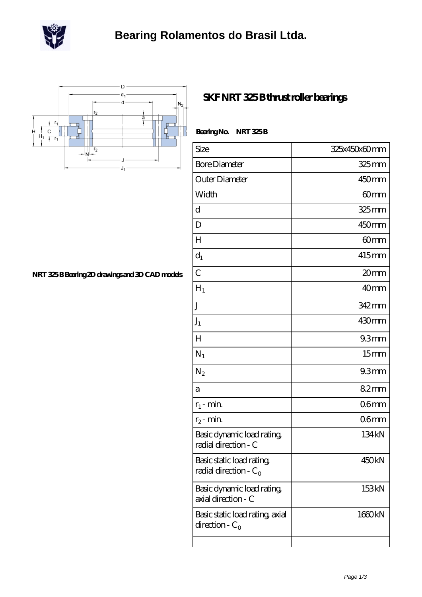



## **[NRT 325 B Bearing 2D drawings and 3D CAD models](https://m.scottrobertalexander.com/pic-539826.html)**

## **[SKF NRT 325 B thrust roller bearings](https://m.scottrobertalexander.com/skf-nrt-325-b-bearing/)**

| Bearing No. NRT 325B                                  |                   |
|-------------------------------------------------------|-------------------|
| Size                                                  | 325x450x60mm      |
| <b>Bore Diameter</b>                                  | 325mm             |
| Outer Diameter                                        | 450mm             |
| Width                                                 | 60mm              |
| d                                                     | $325$ mm          |
| D                                                     | 450 <sub>mm</sub> |
| H                                                     | 60mm              |
| $d_1$                                                 | 415mm             |
| $\overline{C}$                                        | 20mm              |
| $H_1$                                                 | 40 <sub>mm</sub>  |
| J                                                     | 342 mm            |
| $J_1$                                                 | 430mm             |
| $H_{\rm}$                                             | 93mm              |
| $N_1$                                                 | 15 <sub>mm</sub>  |
| $N_2$                                                 | 93mm              |
| а                                                     | 82mm              |
| $r_1$ - min.                                          | 06 <sub>mm</sub>  |
| $r_2$ - min.                                          | 06 <sub>mm</sub>  |
| Basic dynamic load rating,<br>radial direction - C    | 134 <sub>kN</sub> |
| Basic static load rating,<br>radial direction - $C_0$ | 450 <sub>kN</sub> |
| Basic dynamic load rating<br>axial direction - C      | 153kN             |
| Basic static load rating, axial<br>direction - $C_0$  | 1660kN            |
|                                                       |                   |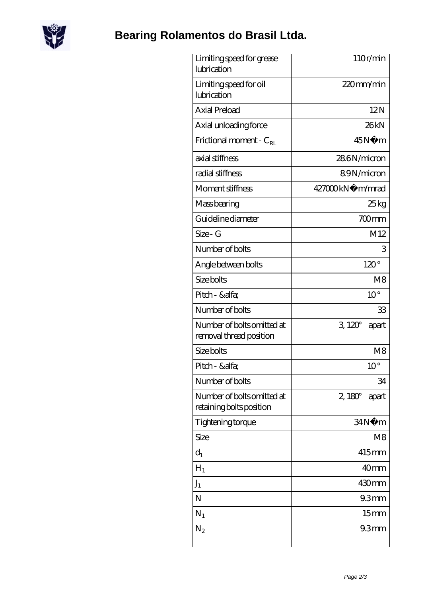

## **[Bearing Rolamentos do Brasil Ltda.](https://m.scottrobertalexander.com)**

| Limiting speed for grease<br>lubrication               | 110r/min              |
|--------------------------------------------------------|-----------------------|
| Limiting speed for oil<br>lubrication                  | 220mm/min             |
| <b>Axial Preload</b>                                   | 12N                   |
| Axial unloading force                                  | 26kN                  |
| Frictional moment - $C_{RL}$                           | 45N<br>m              |
| axial stiffness                                        | 286N/micron           |
| radial stiffness                                       | 89N/micron            |
| Moment stiffness                                       | 427000kN· m/mrad      |
| Mass bearing                                           | 25kg                  |
| Guideline diameter                                     | $700$ mm              |
| Size - G                                               | M12                   |
| Number of bolts                                        | 3                     |
| Angle between bolts                                    | $120^\circ$           |
| Size bolts                                             | M8                    |
| Pitch - &alfa                                          | $10^{\circ}$          |
| Number of bolts                                        | 33                    |
| Number of bolts omitted at<br>removal thread position  | $3120^\circ$<br>apart |
| Size bolts                                             | M <sub>8</sub>        |
| Pitch - &alfa                                          | $10^{\circ}$          |
| Number of bolts                                        | 34                    |
| Number of bolts omitted at<br>retaining bolts position | $2,180^\circ$ apart   |
| Tightening torque                                      | 34N.<br>m             |
| Size                                                   | M8                    |
| $d_1$                                                  | 415mm                 |
| $H_1$                                                  | 40 <sub>mm</sub>      |
| $J_1$                                                  | 430mm                 |
| N                                                      | 93mm                  |
| $N_1$                                                  | 15 <sub>mm</sub>      |
| $N_2$                                                  | 93mm                  |
|                                                        |                       |